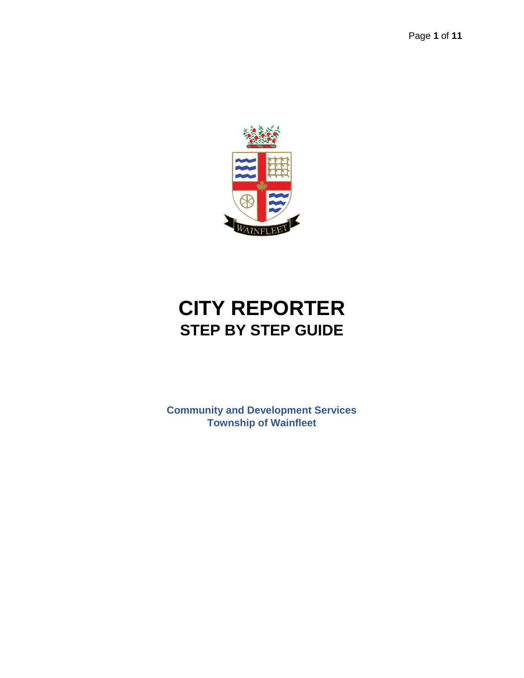

# **CITY REPORTER STEP BY STEP GUIDE**

**Community and Development Services Township of Wainfleet**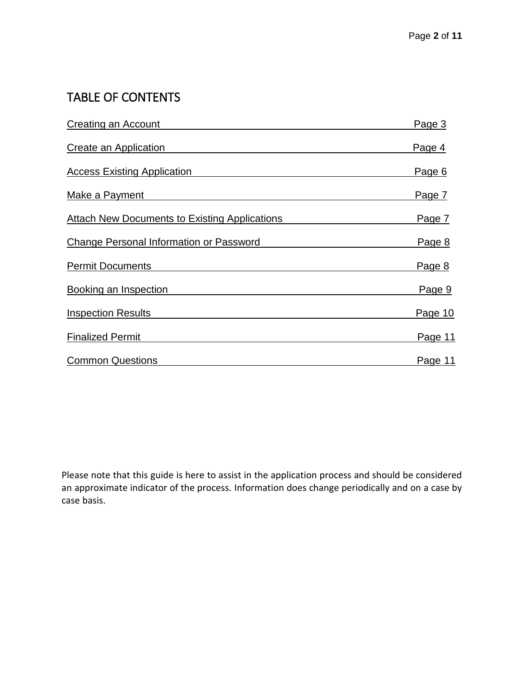# TABLE OF CONTENTS

| <b>Creating an Account</b>                           | Page 3  |
|------------------------------------------------------|---------|
| Create an Application                                | Page 4  |
| <b>Access Existing Application</b>                   | Page 6  |
| Make a Payment                                       | Page 7  |
| <b>Attach New Documents to Existing Applications</b> | Page 7  |
| Change Personal Information or Password              | Page 8  |
| <b>Permit Documents</b>                              | Page 8  |
| <b>Booking an Inspection</b>                         | Page 9  |
| <b>Inspection Results</b>                            | Page 10 |
| <b>Finalized Permit</b>                              | Page 11 |
| <b>Common Questions</b>                              | Page 11 |

Please note that this guide is here to assist in the application process and should be considered an approximate indicator of the process. Information does change periodically and on a case by case basis.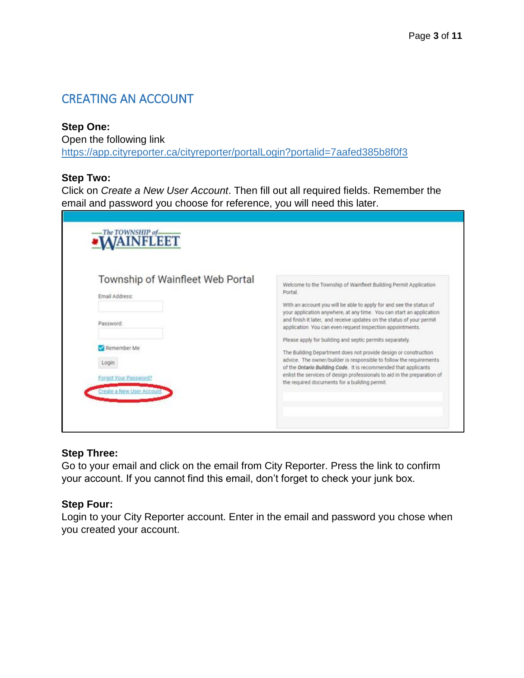### <span id="page-2-0"></span>CREATING AN ACCOUNT

#### **Step One:**

Open the following link

<https://app.cityreporter.ca/cityreporter/portalLogin?portalid=7aafed385b8f0f3>

#### **Step Two:**

Click on *Create a New User Account*. Then fill out all required fields. Remember the email and password you choose for reference, you will need this later.

| Township of Wainfleet Web Portal | Welcome to the Township of Wainfleet Building Permit Application<br>Portal.                                                                                                                                |
|----------------------------------|------------------------------------------------------------------------------------------------------------------------------------------------------------------------------------------------------------|
| Email Address:                   | With an account you will be able to apply for and see the status of                                                                                                                                        |
| Password:                        | your application anywhere, at any time. You can start an application<br>and finish it later, and receive updates on the status of your permit<br>application You can even request inspection appointments. |
|                                  | Please apply for building and septic permits separately.                                                                                                                                                   |
| Remember Me                      | The Building Department does not provide design or construction                                                                                                                                            |
| Login                            | advice. The owner/builder is responsible to follow the requirements<br>of the Ontario Building Code. It is recommended that applicants                                                                     |
| Forgot Your Password?            | enlist the services of design professionals to aid in the preparation of<br>the required documents for a building permit.                                                                                  |

#### **Step Three:**

Go to your email and click on the email from City Reporter. Press the link to confirm your account. If you cannot find this email, don't forget to check your junk box.

#### **Step Four:**

Login to your City Reporter account. Enter in the email and password you chose when you created your account.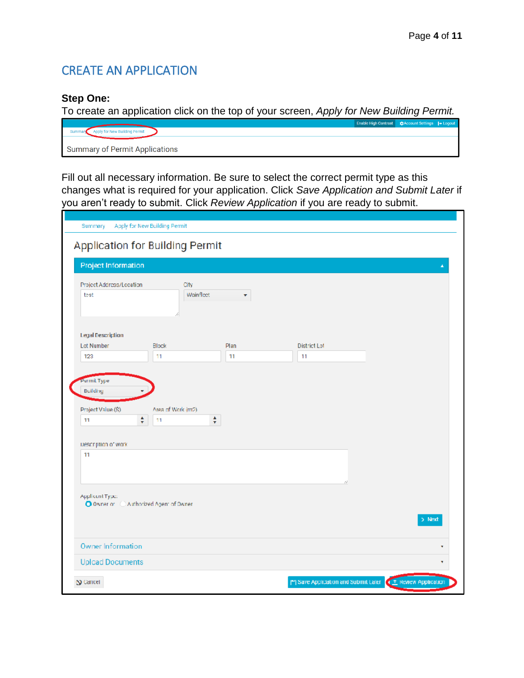# <span id="page-3-0"></span>CREATE AN APPLICATION

#### **Step One:**

To create an application click on the top of your screen, *Apply for New Building Permit.*

|                                       | Enable High Contrast   ☆Account Settings   + Logout |  |
|---------------------------------------|-----------------------------------------------------|--|
| Apply for New Building Permit         |                                                     |  |
|                                       |                                                     |  |
| <b>Summary of Permit Applications</b> |                                                     |  |

Fill out all necessary information. Be sure to select the correct permit type as this changes what is required for your application. Click *Save Application and Submit Later* if you aren't ready to submit. Click *Review Application* if you are ready to submit.

| Summary                                                   | Apply for New Building Permit   |      |                     |                                                                |
|-----------------------------------------------------------|---------------------------------|------|---------------------|----------------------------------------------------------------|
|                                                           |                                 |      |                     |                                                                |
|                                                           | Application for Building Permit |      |                     |                                                                |
| Project Information                                       |                                 |      |                     | A                                                              |
| Project Address/Location<br>test                          | City<br>Wainfleet               | ۰    |                     |                                                                |
| <b>Legal Description</b>                                  |                                 |      |                     |                                                                |
| Lot Number                                                | <b>Block</b>                    | Plan | <b>District Lot</b> |                                                                |
| 123                                                       | 11                              | 11   | 11                  |                                                                |
| ÷<br>11<br>Description of work                            | ÷<br>11                         |      |                     |                                                                |
| 11                                                        |                                 |      |                     |                                                                |
| Applicent Type:<br>O Owner or C Authorized Agent of Owner |                                 |      | Ù.                  | $>$ Next                                                       |
| Owner Information                                         |                                 |      |                     |                                                                |
| <b>Upload Documents</b>                                   |                                 |      |                     |                                                                |
| $\mathbf{D}$ Carreer                                      |                                 |      |                     | Save Application and Submit Later <b>CE Review Application</b> |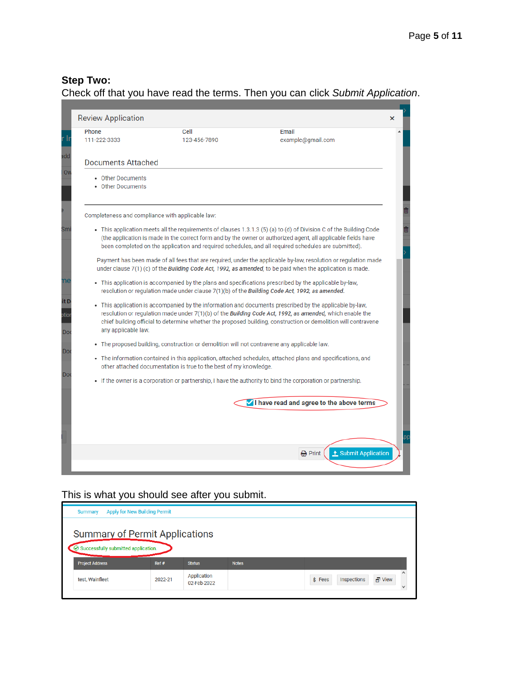### **Step Two:**

### Check off that you have read the terms. Then you can click *Submit Application*.

| <b>Review Application</b>                        |                                                                   |                                                                                                                                                                                                                                                                                                                                             | × |
|--------------------------------------------------|-------------------------------------------------------------------|---------------------------------------------------------------------------------------------------------------------------------------------------------------------------------------------------------------------------------------------------------------------------------------------------------------------------------------------|---|
| Phone<br>111-222-3333                            | Cell<br>123-456-7890                                              | Email<br>example@gmail.com                                                                                                                                                                                                                                                                                                                  |   |
| <b>Documents Attached</b>                        |                                                                   |                                                                                                                                                                                                                                                                                                                                             |   |
| • Other Documents<br>• Other Documents           |                                                                   |                                                                                                                                                                                                                                                                                                                                             |   |
| Completeness and compliance with applicable law: |                                                                   |                                                                                                                                                                                                                                                                                                                                             |   |
|                                                  |                                                                   | · This application meets all the requirements of clauses 1.3.1.3 (5) (a) to (d) of Division C of the Building Code<br>(the application is made in the correct form and by the owner or authorized agent, all applicable fields have<br>been completed on the application and required schedules, and all required schedules are submitted). |   |
|                                                  |                                                                   | Payment has been made of all fees that are required, under the applicable by-law, resolution or regulation made<br>under clause $7(1)$ (c) of the <i>Building Code Act, 1992, as amended</i> , to be paid when the application is made.                                                                                                     |   |
|                                                  |                                                                   | • This application is accompanied by the plans and specifications prescribed by the applicable by-law,<br>resolution or regulation made under clause 7(1)(b) of the Building Code Act, 1992, as amended.                                                                                                                                    |   |
| any applicable law.                              |                                                                   | • This application is accompanied by the information and documents prescribed by the applicable by-law,<br>resolution or regulation made under $7(1)(b)$ of the Building Code Act, 1992, as amended, which enable the<br>chief building official to determine whether the proposed building, construction or demolition will contravene     |   |
|                                                  |                                                                   | • The proposed building, construction or demolition will not contravene any applicable law.                                                                                                                                                                                                                                                 |   |
|                                                  | other attached documentation is true to the best of my knowledge. | The information contained in this application, attached schedules, attached plans and specifications, and                                                                                                                                                                                                                                   |   |
|                                                  |                                                                   | • If the owner is a corporation or partnership, I have the authority to bind the corporation or partnership.                                                                                                                                                                                                                                |   |
|                                                  |                                                                   | I have read and agree to the above terms                                                                                                                                                                                                                                                                                                    |   |
|                                                  |                                                                   |                                                                                                                                                                                                                                                                                                                                             |   |
|                                                  |                                                                   |                                                                                                                                                                                                                                                                                                                                             |   |
|                                                  |                                                                   | t Submit Application<br>음 Print                                                                                                                                                                                                                                                                                                             |   |

#### This is what you should see after you submit.

| <b>Summary</b>                                                                                                 | Apply for New Building Permit |               |              |                                                           |
|----------------------------------------------------------------------------------------------------------------|-------------------------------|---------------|--------------|-----------------------------------------------------------|
| <b>Summary of Permit Applications</b><br>$\odot$ Successfully submitted application.<br><b>Project Address</b> | Ref#                          | <b>Status</b> | <b>Notes</b> |                                                           |
|                                                                                                                |                               | Application   |              |                                                           |
| test, Wainfleet                                                                                                | 2022-21                       | 02-Feb-2022   |              | $s$ Fees<br>$\overline{\blacksquare}$ View<br>Inspections |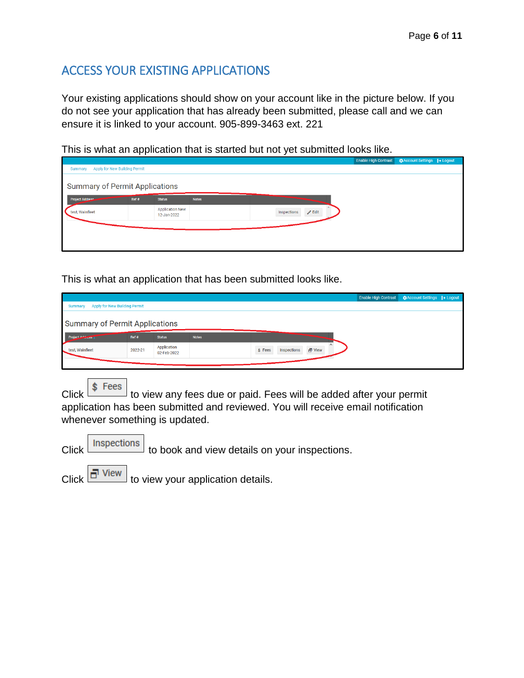# <span id="page-5-0"></span>ACCESS YOUR EXISTING APPLICATIONS

Your existing applications should show on your account like in the picture below. If you do not see your application that has already been submitted, please call and we can ensure it is linked to your account. 905-899-3463 ext. 221

This is what an application that is started but not yet submitted looks like.

|                                       |      |                                       |              |             |                 | Enable High Contrast   ΣΣΑCCOUNt Settings   D+ Logout |  |
|---------------------------------------|------|---------------------------------------|--------------|-------------|-----------------|-------------------------------------------------------|--|
| Summary Apply for New Building Permit |      |                                       |              |             |                 |                                                       |  |
|                                       |      |                                       |              |             |                 |                                                       |  |
| <b>Summary of Permit Applications</b> |      |                                       |              |             |                 |                                                       |  |
| Project Address                       | Ref# | <b>Status</b>                         | <b>Notes</b> |             |                 |                                                       |  |
| test, Wainfleet                       |      | <b>Application New</b><br>12-Jan-2022 |              | Inspections | $\sqrt{ }$ Edit |                                                       |  |
|                                       |      |                                       |              |             |                 |                                                       |  |
|                                       |      |                                       |              |             |                 |                                                       |  |
|                                       |      |                                       |              |             |                 |                                                       |  |

This is what an application that has been submitted looks like.

|                                       |                               |                            |              |                                        | Enable High Contrast <b>C</b> Account Settings → Logout |  |
|---------------------------------------|-------------------------------|----------------------------|--------------|----------------------------------------|---------------------------------------------------------|--|
| <b>Summary</b>                        | Apply for New Building Permit |                            |              |                                        |                                                         |  |
| <b>Summary of Permit Applications</b> |                               |                            |              |                                        |                                                         |  |
| Project Additions                     | Ref#                          | <b>Status</b>              | <b>Notes</b> |                                        |                                                         |  |
| test, Wainfleet                       | 2022-21                       | Application<br>02-Feb-2022 |              | $\Box$ View<br>Inspections<br>$s$ Fees |                                                         |  |
|                                       |                               |                            |              |                                        |                                                         |  |

Click  $\frac{\Leftrightarrow}{\Leftrightarrow}$  Fees to view any fees due or paid. Fees will be added after your permit application has been submitted and reviewed. You will receive email notification whenever something is updated.

|  |  | Click Inspections to book and view details on your inspections. |
|--|--|-----------------------------------------------------------------|
|--|--|-----------------------------------------------------------------|

Click  $\boxed{\Box}$  View to view your application details.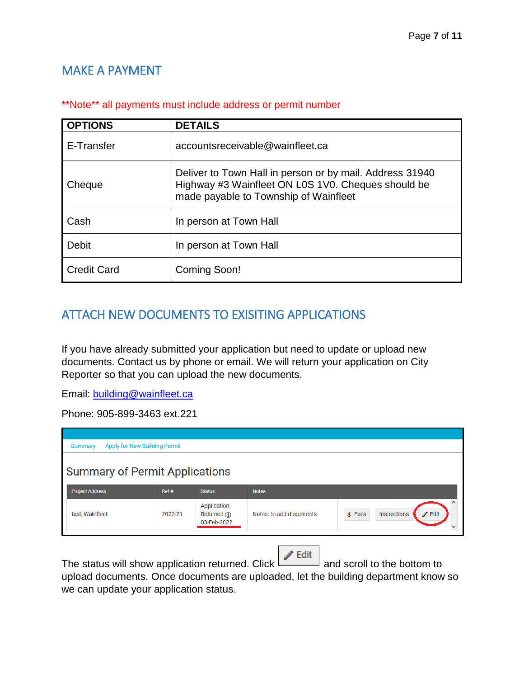## <span id="page-6-0"></span>MAKE A PAYMENT

| <b>OPTIONS</b>     | <b>DETAILS</b>                                                                                                                                          |
|--------------------|---------------------------------------------------------------------------------------------------------------------------------------------------------|
| E-Transfer         | accountsreceivable@wainfleet.ca                                                                                                                         |
| Cheque             | Deliver to Town Hall in person or by mail. Address 31940<br>Highway #3 Wainfleet ON L0S 1V0. Cheques should be<br>made payable to Township of Wainfleet |
| Cash               | In person at Town Hall                                                                                                                                  |
| <b>Debit</b>       | In person at Town Hall                                                                                                                                  |
| <b>Credit Card</b> | Coming Soon!                                                                                                                                            |

#### \*\*Note\*\* all payments must include address or permit number

# <span id="page-6-1"></span>ATTACH NEW DOCUMENTS TO EXISITING APPLICATIONS

If you have already submitted your application but need to update or upload new documents. Contact us by phone or email. We will return your application on City Reporter so that you can upload the new documents.

Email: [building@wainfleet.ca](mailto:building@wainfleet.ca)

Phone: 905-899-3463 ext.221

| Apply for New Building Permit<br><b>Summary</b> |         |                                              |                         |                                                 |
|-------------------------------------------------|---------|----------------------------------------------|-------------------------|-------------------------------------------------|
| <b>Summary of Permit Applications</b>           |         |                                              |                         |                                                 |
| <b>Project Address</b>                          | Ref#    | <b>Status</b>                                | <b>Notes</b>            |                                                 |
| test, Wainfleet                                 | 2022-21 | Application<br>Returned $(i)$<br>03-Feb-2022 | Notes: to add documents | $\mathscr{D}$ Edit<br>Inspections<br>$$ \tFees$ |

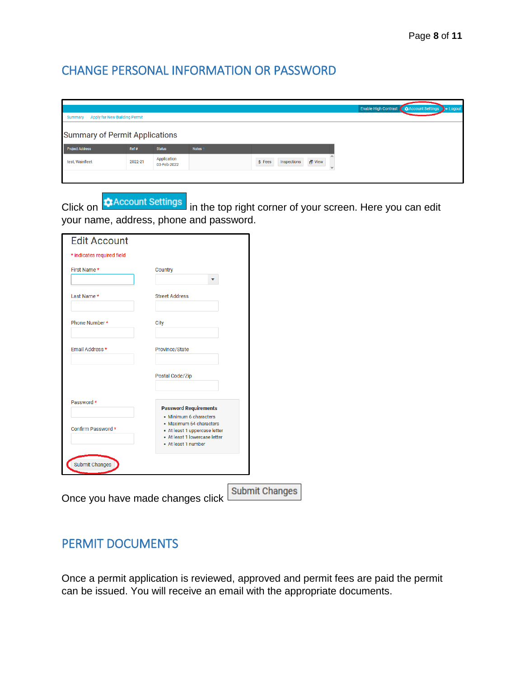### <span id="page-7-0"></span>CHANGE PERSONAL INFORMATION OR PASSWORD

|                                       |                               |                            |                    |                                                       | Enable High Contrast <b>CO</b> Account Settings >> Logout |  |  |  |
|---------------------------------------|-------------------------------|----------------------------|--------------------|-------------------------------------------------------|-----------------------------------------------------------|--|--|--|
| <b>Summary</b>                        | Apply for New Building Permit |                            |                    |                                                       |                                                           |  |  |  |
| <b>Summary of Permit Applications</b> |                               |                            |                    |                                                       |                                                           |  |  |  |
| <b>Project Address</b>                | Ref#                          | <b>Status</b>              | Notes <sub>1</sub> |                                                       |                                                           |  |  |  |
| test, Wainfleet                       | 2022-21                       | Application<br>03-Feb-2022 |                    | $\Box$ View<br>\$ Fees<br>Inspections<br>$\checkmark$ |                                                           |  |  |  |
|                                       |                               |                            |                    |                                                       |                                                           |  |  |  |

Click on **C**Account Settings in the top right corner of your screen. Here you can edit your name, address, phone and password.

| First Name *          | Country                                                                                                                                    |  |
|-----------------------|--------------------------------------------------------------------------------------------------------------------------------------------|--|
|                       |                                                                                                                                            |  |
| Last Name *           | <b>Street Address</b>                                                                                                                      |  |
| Phone Number *        | <b>City</b>                                                                                                                                |  |
| Email Address *       | Province/State                                                                                                                             |  |
|                       | Postal Code/Zip                                                                                                                            |  |
| Password *            | <b>Password Requirements</b>                                                                                                               |  |
| Confirm Password *    | · Minimum 6 characters<br>· Maximum 64 characters<br>• At least 1 uppercase letter<br>• At least 1 lowercase letter<br>• At least 1 number |  |
| <b>Submit Changes</b> |                                                                                                                                            |  |

### <span id="page-7-1"></span>PERMIT DOCUMENTS

Once a permit application is reviewed, approved and permit fees are paid the permit can be issued. You will receive an email with the appropriate documents.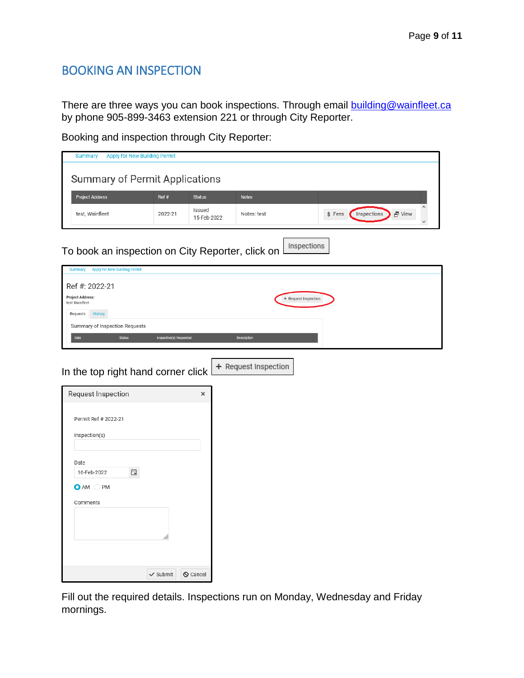### <span id="page-8-0"></span>BOOKING AN INSPECTION

Comments

There are three ways you can book inspections. Through email [building@wainfleet.ca](mailto:building@wainfleet.ca) by phone 905-899-3463 extension 221 or through City Reporter.

Booking and inspection through City Reporter:

| Apply for New Building Permit<br><b>Summary</b>          |                         |                       |                      |                                 |
|----------------------------------------------------------|-------------------------|-----------------------|----------------------|---------------------------------|
| <b>Summary of Permit Applications</b>                    |                         |                       |                      |                                 |
| <b>Project Address</b>                                   | Ref #                   | <b>Status</b>         | <b>Notes</b>         |                                 |
| test, Wainfleet                                          | 2022-21                 | Issued<br>15-Feb-2022 | Notes: test          | 급 View<br>\$Fees<br>Inspections |
| To book an inspection on City Reporter, click on         |                         |                       |                      | Inspections                     |
| <b>Apply for New Building Permit</b><br><b>Summary</b>   |                         |                       |                      |                                 |
| Ref #: 2022-21                                           |                         |                       |                      |                                 |
| <b>Project Address:</b><br>test Wainfleet                |                         |                       | + Request Inspection |                                 |
| <b>History</b><br>Requests                               |                         |                       |                      |                                 |
| Summary of Inspection Requests                           |                         |                       |                      |                                 |
| Date<br><b>Status</b>                                    | Inspection(s) Requested |                       | <b>Description</b>   |                                 |
| In the top right hand corner click<br>Request Inspection |                         | $\times$              | + Request Inspection |                                 |
| Permit Ref # 2022-21                                     |                         |                       |                      |                                 |
| Inspection(s)                                            |                         |                       |                      |                                 |
| Date                                                     |                         |                       |                      |                                 |
| 自<br>16-Feb-2022                                         |                         |                       |                      |                                 |
| <b>O</b> AM<br>C<br>PM                                   |                         |                       |                      |                                 |

Fill out the required details. Inspections run on Monday, Wednesday and Friday mornings.

 $\checkmark$  Submit

 $\bigcirc$  Cancel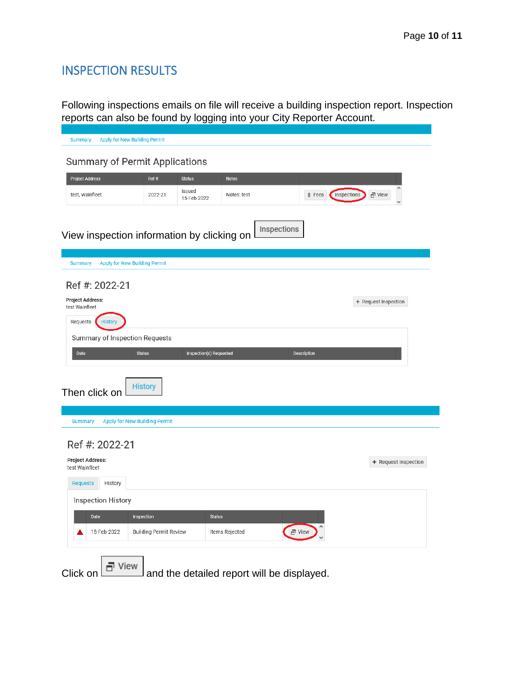# <span id="page-9-0"></span>INSPECTION RESULTS

Following inspections emails on file will receive a building inspection report. Inspection reports can also be found by logging into your City Reporter Account.

| <b>Apply for New Building Permit</b><br><b>Summary</b> |                                      |                         |                |                                            |                       |
|--------------------------------------------------------|--------------------------------------|-------------------------|----------------|--------------------------------------------|-----------------------|
| <b>Summary of Permit Applications</b>                  |                                      |                         |                |                                            |                       |
| <b>Project Address</b>                                 | Ref#                                 | <b>Status</b>           | <b>Notes</b>   |                                            |                       |
| test, Wainfleet                                        | 2022-21                              | Issued<br>15-Feb-2022   | Notes: test    | $$$ Fees                                   | Inspections<br>급 View |
|                                                        |                                      |                         |                |                                            |                       |
| View inspection information by clicking on             |                                      |                         |                | Inspections                                |                       |
|                                                        |                                      |                         |                |                                            |                       |
| <b>Apply for New Building Permit</b><br><b>Summary</b> |                                      |                         |                |                                            |                       |
| Ref #: 2022-21                                         |                                      |                         |                |                                            |                       |
| <b>Project Address:</b><br>test Wainfleet              |                                      |                         |                |                                            | + Request Inspection  |
| Requests<br><b>History</b>                             |                                      |                         |                |                                            |                       |
| Summary of Inspection Requests                         |                                      |                         |                |                                            |                       |
| Date                                                   | <b>Status</b>                        | Inspection(s) Requested |                | Description                                |                       |
| Then click on                                          | <b>History</b>                       |                         |                |                                            |                       |
| <b>Summary</b>                                         | <b>Apply for New Building Permit</b> |                         |                |                                            |                       |
| Ref #: 2022-21                                         |                                      |                         |                |                                            |                       |
| <b>Project Address:</b><br>test Wainfleet              |                                      |                         |                |                                            | + Request Inspection  |
| <b>Requests</b><br>History                             |                                      |                         |                |                                            |                       |
| Inspection History                                     |                                      |                         |                |                                            |                       |
| Date                                                   | Inspection                           | <b>Status</b>           |                |                                            |                       |
| 15-Feb-2022                                            | <b>Building Permit Review</b>        |                         | Items Rejected | $\Box$ View                                |                       |
|                                                        |                                      |                         |                |                                            |                       |
| 급 View<br>Click on                                     |                                      |                         |                | and the detailed report will be displayed. |                       |